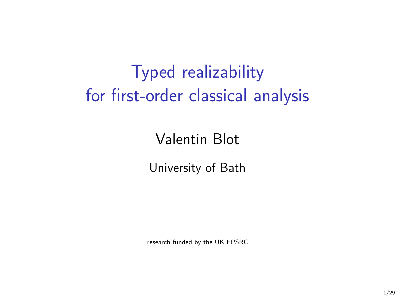# Typed realizability for first-order classical analysis

# Valentin Blot

University of Bath

research funded by the UK EPSRC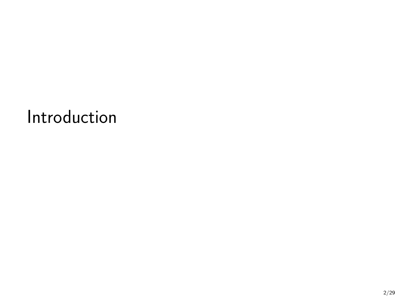Introduction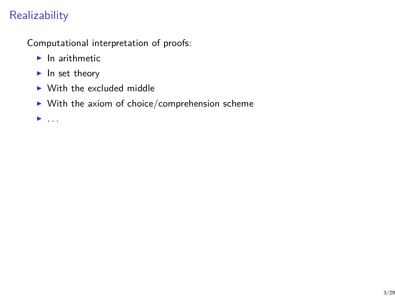# **Realizability**

Computational interpretation of proofs:

- $\blacktriangleright$  In arithmetic
- $\blacktriangleright$  In set theory
- $\triangleright$  With the excluded middle
- $\blacktriangleright$  With the axiom of choice/comprehension scheme

<sup>I</sup> . . .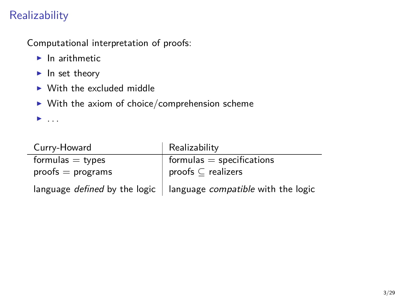# **Realizability**

Computational interpretation of proofs:

- $\blacktriangleright$  In arithmetic
- $\blacktriangleright$  In set theory
- $\triangleright$  With the excluded middle
- $\blacktriangleright$  With the axiom of choice/comprehension scheme

<sup>I</sup> . . .

| Curry-Howard                         | Realizability                             |
|--------------------------------------|-------------------------------------------|
| formulas $=$ types                   | $formulas = specifications$               |
| $proofs = programs$                  | proofs $\subseteq$ realizers              |
| language <i>defined</i> by the logic | language <i>compatible</i> with the logic |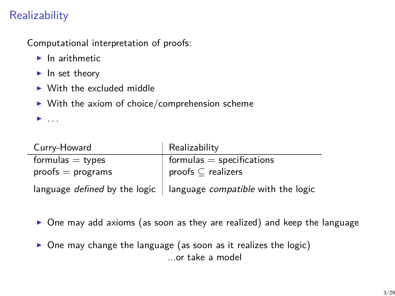# **Realizability**

Computational interpretation of proofs:

- $\blacktriangleright$  In arithmetic
- $\blacktriangleright$  In set theory
- $\triangleright$  With the excluded middle
- $\triangleright$  With the axiom of choice/comprehension scheme

<sup>I</sup> . . .

٠

| Curry-Howard        | Realizability                                                            |
|---------------------|--------------------------------------------------------------------------|
| formulas $=$ types  | $formulas = specifications$                                              |
| $proofs = programs$ | proofs $\subseteq$ realizers                                             |
|                     | language defined by the logic $\vert$ language compatible with the logic |

- $\triangleright$  One may add axioms (as soon as they are realized) and keep the language
- $\triangleright$  One may change the language (as soon as it realizes the logic) ...or take a model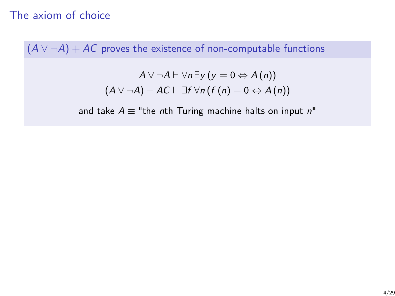# The axiom of choice

 $(A \vee \neg A) + AC$  proves the existence of non-computable functions

$$
A \lor \neg A \vdash \forall n \exists y (y = 0 \Leftrightarrow A(n))
$$
  

$$
(A \lor \neg A) + AC \vdash \exists f \forall n (f(n) = 0 \Leftrightarrow A(n))
$$

and take  $A \equiv$  "the nth Turing machine halts on input n"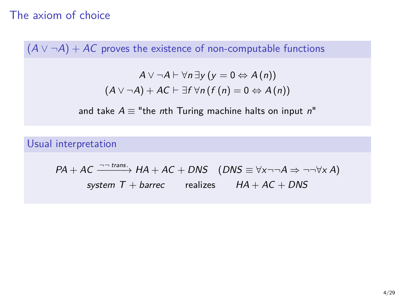# The axiom of choice

 $(A \vee \neg A) + AC$  proves the existence of non-computable functions

$$
A \lor \neg A \vdash \forall n \exists y (y = 0 \Leftrightarrow A(n))
$$
  

$$
(A \lor \neg A) + AC \vdash \exists f \forall n (f(n) = 0 \Leftrightarrow A(n))
$$

and take  $A \equiv$  "the nth Turing machine halts on input n"

Usual interpretation

$$
PA + AC \xrightarrow{\neg \neg \text{ trans.}} HA + AC + DNS \quad (DNS \equiv \forall x \neg \neg A \Rightarrow \neg \neg \forall x A)
$$
  
system T + barrec realizes  $HA + AC + DNS$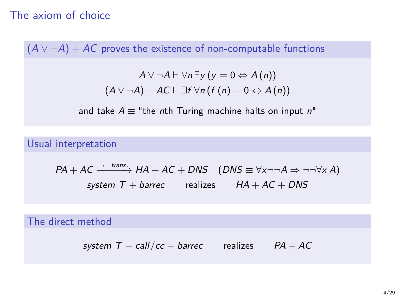# The axiom of choice

 $(A \vee \neg A) + AC$  proves the existence of non-computable functions

$$
A \lor \neg A \vdash \forall n \exists y (y = 0 \Leftrightarrow A(n))
$$
  

$$
(A \lor \neg A) + AC \vdash \exists f \forall n (f(n) = 0 \Leftrightarrow A(n))
$$

and take  $A \equiv$  "the nth Turing machine halts on input n"

Usual interpretation

$$
PA + AC \xrightarrow{\neg \text{ trans.}} HA + AC + DNS \quad (DNS \equiv \forall x \neg \neg A \Rightarrow \neg \neg \forall x A)
$$
  
system T + barrec realizes  $HA + AC + DNS$ 

The direct method

system  $T + \frac{call}{cc} + \frac{bar}{cc}$  realizes  $PA + AC$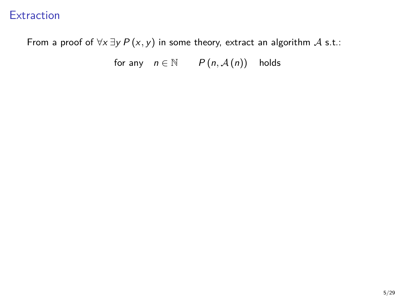## **Extraction**

From a proof of  $\forall x \exists y P(x, y)$  in some theory, extract an algorithm A s.t.:

for any  $n \in \mathbb{N}$   $P(n, \mathcal{A}(n))$  holds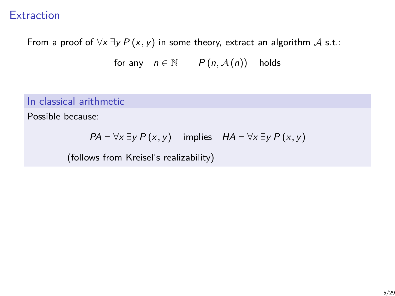## **Extraction**

From a proof of  $\forall x \exists y P(x, y)$  in some theory, extract an algorithm A s.t.:

for any  $n \in \mathbb{N}$   $P(n, \mathcal{A}(n))$  holds

## In classical arithmetic

Possible because:

$$
PA \vdash \forall x \exists y P(x, y)
$$
 implies  $HA \vdash \forall x \exists y P(x, y)$ 

(follows from Kreisel's realizability)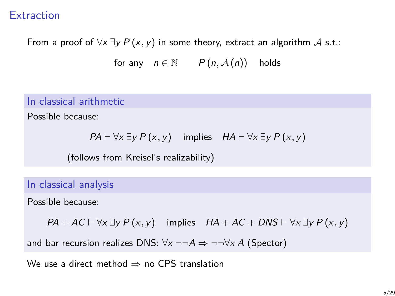## **Extraction**

From a proof of  $\forall x \exists y P(x, y)$  in some theory, extract an algorithm A s.t.:

for any  $n \in \mathbb{N}$   $P(n, \mathcal{A}(n))$  holds

#### In classical arithmetic

Possible because:

$$
PA \vdash \forall x \exists y P(x, y)
$$
 implies  $HA \vdash \forall x \exists y P(x, y)$ 

(follows from Kreisel's realizability)

In classical analysis

Possible because:

 $PA + AC \vdash \forall x \exists y P(x, y)$  implies  $HA + AC + DNS \vdash \forall x \exists y P(x, y)$ 

and bar recursion realizes DNS:  $\forall x \neg \neg A \Rightarrow \neg \neg \forall x A$  (Spector)

We use a direct method  $\Rightarrow$  no CPS translation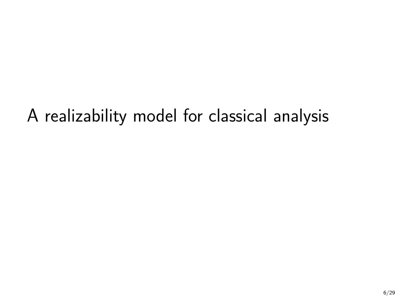A realizability model for classical analysis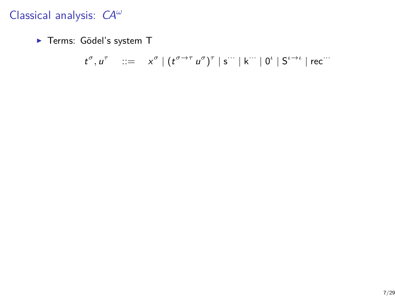▶ Terms: Gödel's system T

$$
t^{\sigma}, u^{\tau} \quad ::= \quad x^{\sigma} \mid (t^{\sigma \to \tau} u^{\sigma})^{\tau} \mid s^{\cdots} \mid k^{\cdots} \mid 0^{\iota} \mid S^{\iota \to \iota} \mid \text{rec}^{\cdots}
$$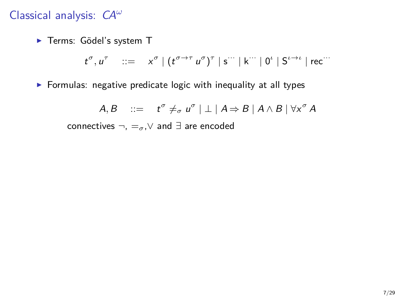▶ Terms: Gödel's system T

$$
t^{\sigma}, u^{\tau} \quad ::= \quad x^{\sigma} \mid (t^{\sigma \to \tau} u^{\sigma})^{\tau} \mid s^{\cdots} \mid k^{\cdots} \mid 0^{\iota} \mid S^{\iota \to \iota} \mid \text{rec}^{\cdots}
$$

 $\triangleright$  Formulas: negative predicate logic with inequality at all types

 $A, B$  ::=  $t^{\sigma} \neq_{\sigma} u^{\sigma} \mid \perp \mid A \Rightarrow B \mid A \wedge B \mid \forall x^{\sigma} A$ connectives ¬, =*σ*,∨ and ∃ are encoded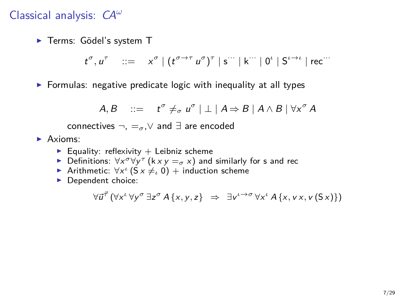▶ Terms: Gödel's system T

$$
t^{\sigma}, u^{\tau} \quad ::= \quad x^{\sigma} \mid (t^{\sigma \to \tau} u^{\sigma})^{\tau} \mid s^{\cdots} \mid k^{\cdots} \mid 0^{\iota} \mid S^{\iota \to \iota} \mid \text{rec}^{\cdots}
$$

 $\triangleright$  Formulas: negative predicate logic with inequality at all types

$$
A, B \quad ::= \quad t^{\sigma} \neq_{\sigma} u^{\sigma} \mid \perp \mid A \Rightarrow B \mid A \wedge B \mid \forall x^{\sigma} A
$$

connectives ¬, =*σ*,∨ and ∃ are encoded

- $\blacktriangleright$  Axioms:
	- Equality: reflexivity  $+$  Leibniz scheme
	- **►** Definitions:  $\forall x^{\sigma} \forall y^{\tau}$  (k x y = *σ* x) and similarly for s and rec
	- **Arithmetic:**  $\forall x^i$  ( $S \times \neq \emptyset$ ) + induction scheme
	- $\blacktriangleright$  Dependent choice:

$$
\forall \vec{u}^{\vec{\tau}} \left( \forall x^{\iota} \ \forall y^{\sigma} \ \exists z^{\sigma} \ A \{x,y,z\} \ \Rightarrow \ \exists v^{\iota \rightarrow \sigma} \ \forall x^{\iota} \ A \{x,vx,v(Sx)\} \right)
$$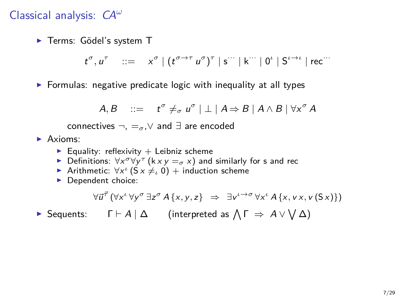▶ Terms: Gödel's system T

$$
t^{\sigma}, u^{\tau} \quad ::= \quad x^{\sigma} \mid (t^{\sigma \to \tau} u^{\sigma})^{\tau} \mid s^{\cdots} \mid k^{\cdots} \mid 0^{\iota} \mid S^{\iota \to \iota} \mid \text{rec}^{\cdots}
$$

 $\triangleright$  Formulas: negative predicate logic with inequality at all types

$$
A, B \quad ::= \quad t^{\sigma} \neq_{\sigma} u^{\sigma} \mid \perp \mid A \Rightarrow B \mid A \wedge B \mid \forall x^{\sigma} A
$$

connectives ¬, =*σ*,∨ and ∃ are encoded

- $\blacktriangleright$  Axioms:
	- Equality: reflexivity  $+$  Leibniz scheme
	- **►** Definitions:  $\forall x^{\sigma} \forall y^{\tau}$  (k x y = *σ* x) and similarly for s and rec
	- **Arithmetic:**  $\forall x^i$  ( $S \times \neq \emptyset$ ) + induction scheme
	- $\blacktriangleright$  Dependent choice:

$$
\forall \vec{u}^{\vec{\tau}} \left( \forall x^{\iota} \, \forall y^{\sigma} \, \exists z^{\sigma} \, A \{x, y, z\} \Rightarrow \exists v^{\iota \rightarrow \sigma} \, \forall x^{\iota} \, A \{x, v \, x, v \, (\mathsf{S} \, x)\}\right)
$$

► Sequents: Γ  $\vdash A \mid \Delta$  (interpreted as  $\bigwedge \Gamma \Rightarrow A \vee \bigvee \Delta$ )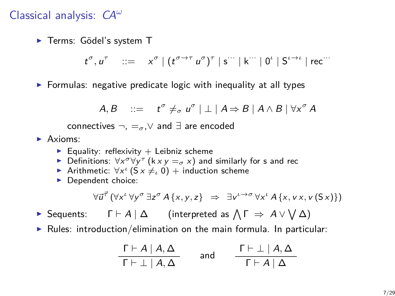▶ Terms: Gödel's system T

$$
t^{\sigma}, u^{\tau} \quad ::= \quad x^{\sigma} \mid (t^{\sigma \to \tau} u^{\sigma})^{\tau} \mid s^{\cdots} \mid k^{\cdots} \mid 0^{\iota} \mid S^{\iota \to \iota} \mid \text{rec}^{\cdots}
$$

 $\triangleright$  Formulas: negative predicate logic with inequality at all types

$$
A, B \quad ::= \quad t^{\sigma} \neq_{\sigma} u^{\sigma} \mid \perp \mid A \Rightarrow B \mid A \wedge B \mid \forall x^{\sigma} A
$$

connectives ¬, =*σ*,∨ and ∃ are encoded

- $\blacktriangleright$  Axioms:
	- Equality: reflexivity  $+$  Leibniz scheme
	- **►** Definitions:  $\forall x^{\sigma} \forall y^{\tau}$  (k x y = *σ* x) and similarly for s and rec
	- **Arithmetic:**  $\forall x^i$  ( $S \times \neq \emptyset$ ) + induction scheme
	- $\blacktriangleright$  Dependent choice:

$$
\forall \vec{u}^{\vec{\tau}} \left( \forall x^{\iota} \, \forall y^{\sigma} \, \exists z^{\sigma} \, A \{x, y, z\} \Rightarrow \exists v^{\iota \rightarrow \sigma} \, \forall x^{\iota} \, A \{x, v \, x, v \, (\mathsf{S} \, x)\}\right)
$$

- ► Sequents: Γ  $\vdash A \mid \Delta$  (interpreted as  $\bigwedge \Gamma \Rightarrow A \vee \bigvee \Delta$ )
- $\triangleright$  Rules: introduction/elimination on the main formula. In particular:

$$
\frac{\Gamma \vdash A \mid A, \Delta}{\Gamma \vdash \bot \mid A, \Delta} \quad \text{and} \quad \frac{\Gamma \vdash \bot \mid A, \Delta}{\Gamma \vdash A \mid \Delta}
$$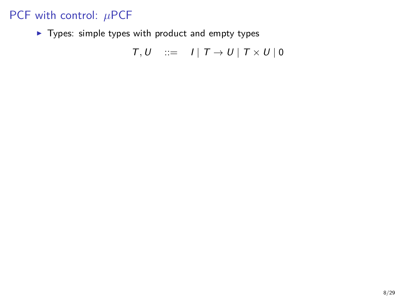$\blacktriangleright$  Types: simple types with product and empty types

$$
T, U \quad ::= \quad I \mid T \to U \mid T \times U \mid 0
$$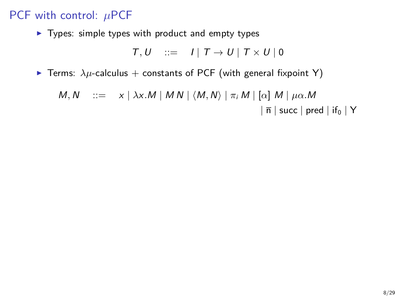$\blacktriangleright$  Types: simple types with product and empty types

$$
T, U \quad ::= \quad I \mid T \to U \mid T \times U \mid 0
$$

**F** Terms:  $\lambda \mu$ -calculus + constants of PCF (with general fixpoint Y)

$$
M, N \quad ::= \quad x \mid \lambda x.M \mid MN \mid \langle M, N \rangle \mid \pi_i M \mid [\alpha] \ M \mid \mu \alpha.M
$$

$$
\mid \overline{n} \mid succ \mid pred \mid if_0 \mid Y
$$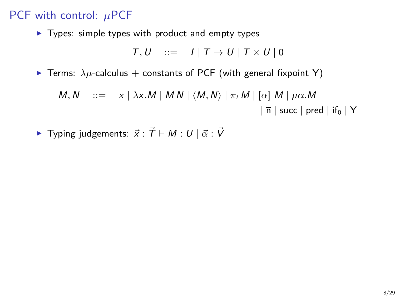$\blacktriangleright$  Types: simple types with product and empty types

$$
T, U \quad ::= \quad I \mid T \to U \mid T \times U \mid 0
$$

**F** Terms:  $\lambda \mu$ -calculus + constants of PCF (with general fixpoint Y)

$$
M, N \quad ::= \quad x \mid \lambda x.M \mid MN \mid \langle M, N \rangle \mid \pi_i M \mid [\alpha] \ M \mid \mu \alpha.M
$$

$$
\mid \overline{n} \mid succ \mid pred \mid if_0 \mid Y
$$

 $\blacktriangleright$  Typing judgements:  $\vec{x}$  :  $\vec{T} \vdash M : U \mid \vec{\alpha} : \vec{V}$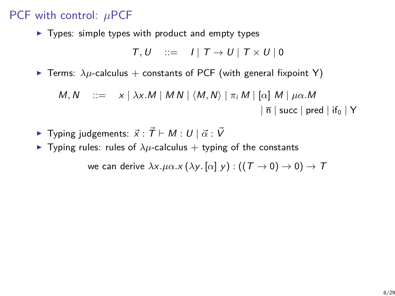$\blacktriangleright$  Types: simple types with product and empty types

$$
T, U \quad ::= \quad I \mid T \to U \mid T \times U \mid 0
$$

**F** Terms:  $\lambda \mu$ -calculus + constants of PCF (with general fixpoint Y)

$$
M, N \quad ::= \quad x \mid \lambda x.M \mid MN \mid \langle M, N \rangle \mid \pi_i M \mid [\alpha] \ M \mid \mu \alpha.M
$$

$$
\mid \overline{n} \mid succ \mid pred \mid if_0 \mid Y
$$

- $\blacktriangleright$  Typing judgements:  $\vec{x}$  :  $\vec{T}$   $\vdash$  M : U  $|\vec{\alpha}$  :  $\vec{V}$
- **Figure Typing rules:** rules of  $\lambda \mu$ -calculus + typing of the constants

we can derive  $\lambda x.\mu\alpha.x(\lambda y. [\alpha] y) : ((T \rightarrow 0) \rightarrow 0) \rightarrow T$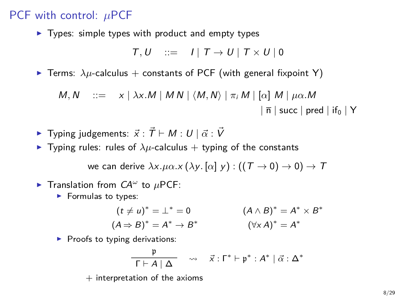$\blacktriangleright$  Types: simple types with product and empty types

$$
T, U \quad ::= \quad I \mid T \to U \mid T \times U \mid 0
$$

**F** Terms:  $\lambda \mu$ -calculus + constants of PCF (with general fixpoint Y)

$$
M, N \quad ::= \quad x \mid \lambda x.M \mid MN \mid \langle M, N \rangle \mid \pi_i M \mid [\alpha] \ M \mid \mu \alpha.M
$$

$$
\mid \overline{\mathsf{n}} \mid \text{succ} \mid \text{pred} \mid \text{if}_0 \mid Y
$$

- $\blacktriangleright$  Typing judgements:  $\vec{x}$  :  $\vec{T}$   $\vdash$  M : U  $|\vec{\alpha}$  :  $\vec{V}$
- **Figure Typing rules:** rules of  $\lambda \mu$ -calculus + typing of the constants

we can derive  $\lambda x.\mu\alpha.x(\lambda y. [\alpha] y) : ((T \rightarrow 0) \rightarrow 0) \rightarrow T$ 

- **F** Translation from  $CA^{\omega}$  to  $\mu$ PCF:
	- $\blacktriangleright$  Formulas to types:

$$
(t \neq u)^* = \bot^* = 0
$$
  
\n
$$
(A \wedge B)^* = A^* \times B^*
$$
  
\n
$$
(\forall x A)^* = A^* \times B^*
$$
  
\n
$$
(\forall x A)^* = A^*
$$

 $\blacktriangleright$  Proofs to typing derivations:

$$
\frac{\mathfrak{p}}{\Gamma \vdash A \mid \Delta} \quad \rightsquigarrow \quad \vec{x} : \Gamma^* \vdash \mathfrak{p}^* : A^* \mid \vec{\alpha} : \Delta^*
$$

 $+$  interpretation of the axioms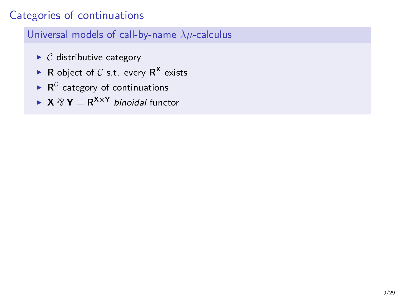# Categories of continuations

## Universal models of call-by-name *λµ*-calculus

- $\triangleright$  C distributive category
- **R** object of C s.t. every  $R^X$  exists
- $\blacktriangleright$  **R**<sup>C</sup> category of continuations
- $\triangleright$  **X**  $\mathcal{R}$  **Y** = **R**<sup>X×**Y**</sup> binoidal functor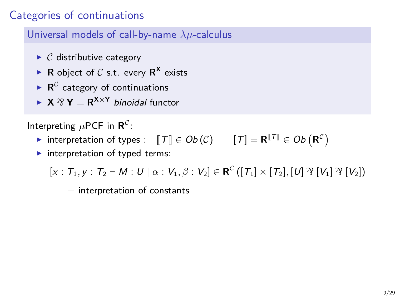# Categories of continuations

Universal models of call-by-name *λµ*-calculus

- $\triangleright$  C distributive category
- **R** object of C s.t. every  $R^X$  exists
- $\blacktriangleright$  **R**<sup>C</sup> category of continuations
- $\triangleright$  **X**  $\mathcal{R}$  **Y** = **R**<sup>X×**Y**</sup> binoidal functor

Interpreting  $\mu$ PCF in  $\mathbf{R}^{\mathcal{C}}$ :

- **►** interpretation of types :  $\llbracket T \rrbracket \in Ob \left( \mathcal{C} \right)$   $\llbracket T \rrbracket = \mathbf{R}^{\llbracket T \rrbracket} \in Ob \left( \mathbf{R}^{\mathcal{C}} \right)$
- $\blacktriangleright$  interpretation of typed terms:

 $[x : T_1, y : T_2 \vdash M : U \mid \alpha : V_1, \beta : V_2] \in \mathbf{R}^{\mathcal{C}} ([T_1] \times [T_2], [U] \mathcal{R} [V_1] \mathcal{R} [V_2])$ 

 $+$  interpretation of constants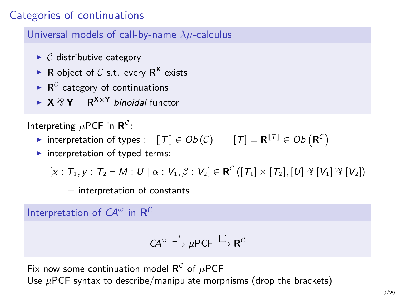# Categories of continuations

Universal models of call-by-name *λµ*-calculus

- $\triangleright$  C distributive category
- **R** object of C s.t. every  $R^X$  exists
- $\blacktriangleright$  **R**<sup>C</sup> category of continuations
- $\triangleright$  **X**  $\mathcal{R}$  **Y** = **R**<sup>X×**Y**</sup> binoidal functor

Interpreting  $\mu$ PCF in  $\mathbf{R}^{\mathcal{C}}$ :

- **►** interpretation of types :  $\llbracket T \rrbracket \in Ob \left( \mathcal{C} \right)$   $\llbracket T \rrbracket = \mathbf{R}^{\llbracket T \rrbracket} \in Ob \left( \mathbf{R}^{\mathcal{C}} \right)$
- $\blacktriangleright$  interpretation of typed terms:

 $[x : T_1, y : T_2 \vdash M : U \mid \alpha : V_1, \beta : V_2] \in \mathbf{R}^{\mathcal{C}} ([T_1] \times [T_2], [U] \mathcal{R} [V_1] \mathcal{R} [V_2])$ 

 $+$  interpretation of constants

Interpretation of  $CA^{\omega}$  in  $\mathbf{R}^{\mathcal{C}}$ 

$$
\mathsf{CA}^{\omega} \xrightarrow{\;\;* \;\;} \mu\mathsf{PCF} \xrightarrow{\;[\bot \;]} \mathbf{R}^{\mathcal{C}}
$$

Fix now some continuation model  $\mathbf{R}^{\mathcal{C}}$  of  $\mu$ PCF Use  $\mu$ PCF syntax to describe/manipulate morphisms (drop the brackets)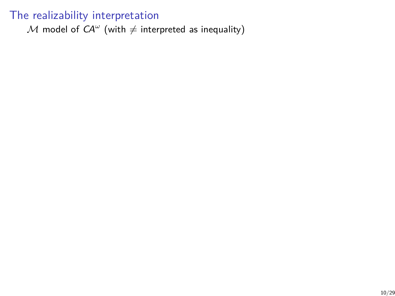${\mathcal M}$  model of  $\mathsf{C\!A}^\omega$  (with  $\neq$  interpreted as inequality)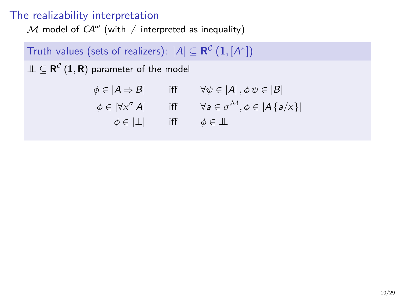${\mathcal M}$  model of  $\mathsf{C\!A}^\omega$  (with  $\neq$  interpreted as inequality)

# $\mathsf{Truth}\,$  values (sets of realizers):  $\lvert A \rvert \subseteq \mathsf{R}^\mathcal{C}\left( \mathbf{1},\left[ A^* \right] \right)$

 $\mathbb{L} \subseteq \mathsf{R}^{\mathcal{C}} \left( \mathbf{1}, \mathsf{R} \right)$  parameter of the model

$$
\phi \in |A \Rightarrow B| \quad \text{iff} \quad \forall \psi \in |A|, \phi \psi \in |B|
$$
  

$$
\phi \in |\forall x^{\sigma} A| \quad \text{iff} \quad \forall a \in \sigma^{\mathcal{M}}, \phi \in |A\{a/x\}|
$$
  

$$
\phi \in |\bot| \quad \text{iff} \quad \phi \in \bot
$$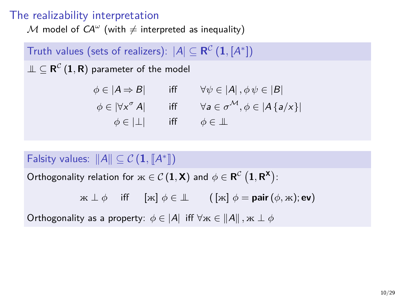${\mathcal M}$  model of  $\mathsf{C\!A}^\omega$  (with  $\neq$  interpreted as inequality)

# $\mathsf{Truth}\,$  values (sets of realizers):  $\lvert A \rvert \subseteq \mathsf{R}^\mathcal{C}\left( \mathbf{1},\left[ A^* \right] \right)$

 $\mathbb{L} \subseteq \mathsf{R}^{\mathcal{C}} \left( \mathbf{1}, \mathsf{R} \right)$  parameter of the model

$$
\phi \in |A \Rightarrow B| \quad \text{iff} \quad \forall \psi \in |A|, \phi \psi \in |B|
$$
  

$$
\phi \in |\forall x^{\sigma} A| \quad \text{iff} \quad \forall a \in \sigma^{\mathcal{M}}, \phi \in |A\{a/x\}|
$$
  

$$
\phi \in |\bot| \quad \text{iff} \quad \phi \in \bot
$$

# Falsity values:  $||A|| \subseteq C (\mathbf{1}, [A^*])$

 $\mathsf{Orthogonality}$  relation for  $\mathbf{x} \in \mathcal{C} \left( \mathbf{1}, \mathbf{X} \right)$  and  $\phi \in \mathbf{R}^{\mathcal{C}} \left( \mathbf{1}, \mathbf{R}^{\mathbf{X}} \right)$ :

$$
\mathbf{M} \perp \phi \quad \text{ iff } \quad [\mathbf{M}] \phi \in \perp \qquad (\,[\mathbf{M}] \phi = \text{pair} \, (\phi, \mathbf{M}); \text{ev})
$$

Orthogonality as a property:  $\phi \in |A|$  iff  $\forall x \in ||A||$ ,  $x \perp \phi$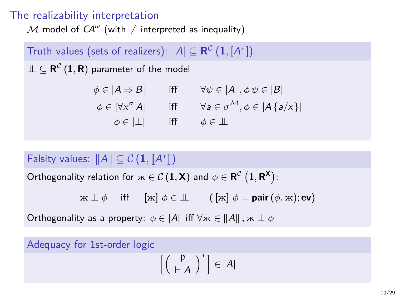${\mathcal M}$  model of  $\mathsf{C\!A}^\omega$  (with  $\neq$  interpreted as inequality)

# $\mathsf{Truth}\,$  values (sets of realizers):  $\lvert A \rvert \subseteq \mathsf{R}^\mathcal{C}\left( \mathbf{1},\left[ A^* \right] \right)$

 $\mathbb{L} \subseteq \mathsf{R}^{\mathcal{C}} \left( \mathbf{1}, \mathsf{R} \right)$  parameter of the model

$$
\phi \in |A \Rightarrow B| \quad \text{iff} \quad \forall \psi \in |A|, \phi \psi \in |B|
$$
  

$$
\phi \in |\forall x^{\sigma} A| \quad \text{iff} \quad \forall a \in \sigma^{\mathcal{M}}, \phi \in |A\{a/x\}|
$$
  

$$
\phi \in |\bot| \quad \text{iff} \quad \phi \in \bot
$$

# Falsity values:  $||A|| \subseteq C (\mathbf{1}, [A^*])$

 $\mathsf{Orthogonality}$  relation for  $\mathbf{x} \in \mathcal{C} \left( \mathbf{1}, \mathbf{X} \right)$  and  $\phi \in \mathbf{R}^{\mathcal{C}} \left( \mathbf{1}, \mathbf{R}^{\mathbf{X}} \right)$ :

$$
\mathbf{x} \perp \phi \quad \text{ iff } \quad [\mathbf{x}] \phi \in \mathbb{L} \qquad \left( [\mathbf{x}] \phi = \mathbf{pair} \left( \phi, \mathbf{x} \right); \mathbf{ev} \right)
$$

Orthogonality as a property:  $\phi \in |A|$  iff  $\forall x \in ||A||$ ,  $x \perp \phi$ 

Adequacy for 1st-order logic

$$
\left[\left(\frac{\mathfrak{p}}{h\!+\!A}\right)^*\right]\in |A|
$$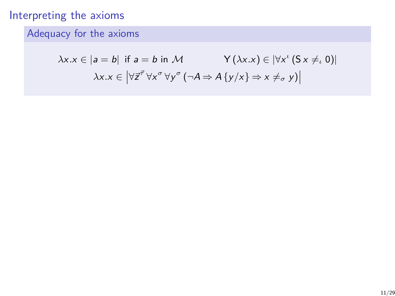# Adequacy for the axioms

$$
\lambda x.x \in |a = b| \text{ if } a = b \text{ in } \mathcal{M} \qquad \qquad \mathsf{Y}(\lambda x.x) \in |\forall x' \, (\mathsf{S} \, x \neq_{\iota} 0)|
$$

$$
\lambda x.x \in \left| \forall \vec{z}^{\vec{\tau}} \, \forall x^{\sigma} \, \forall y^{\sigma} \, (\neg A \Rightarrow A \, \{y/x\} \Rightarrow x \neq_{\sigma} y) \right|
$$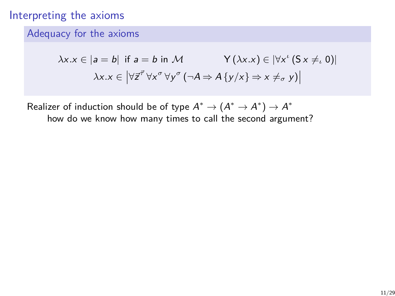#### Adequacy for the axioms

$$
\lambda x.x \in |a = b| \text{ if } a = b \text{ in } \mathcal{M} \qquad \qquad \mathsf{Y}(\lambda x.x) \in |\forall x^{\iota} (S x \neq_{\iota} 0)|
$$

$$
\lambda x.x \in |\forall \vec{z}^{\vec{\tau}} \forall x^{\sigma} \forall y^{\sigma} (\neg A \Rightarrow A \{y/x\} \Rightarrow x \neq_{\sigma} y)|
$$

Realizer of induction should be of type  $A^* \to (A^* \to A^*) \to A^*$ how do we know how many times to call the second argument?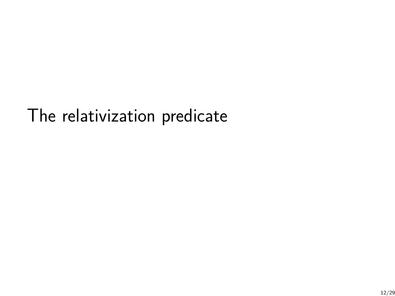# The relativization predicate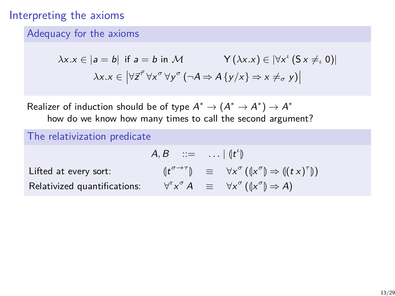#### Adequacy for the axioms

$$
\lambda x.x \in |a = b| \text{ if } a = b \text{ in } \mathcal{M} \qquad \qquad \mathsf{Y}(\lambda x.x) \in |\forall x' \, (\mathsf{S} \, x \neq_{\iota} 0)|
$$

$$
\lambda x.x \in \left| \forall \vec{z}^{\vec{\tau}} \, \forall x^{\sigma} \, \forall y^{\sigma} \, (\neg A \Rightarrow A \, \{y/x\} \Rightarrow x \neq_{\sigma} y) \right|
$$

Realizer of induction should be of type  $A^* \to (A^* \to A^*) \to A^*$ how do we know how many times to call the second argument?

#### The relativization predicate

Relativized

$$
A, B ::= \dots | (t^t)
$$
  
Lifted at every sort:  $(t^{\sigma \to \tau}) \equiv \forall x^{\sigma} ((x^{\sigma}) \Rightarrow ((tx)^{\tau}))$   
Relativized quantifications:  $\forall^r x^{\sigma} A \equiv \forall x^{\sigma} ((x^{\sigma}) \Rightarrow A)$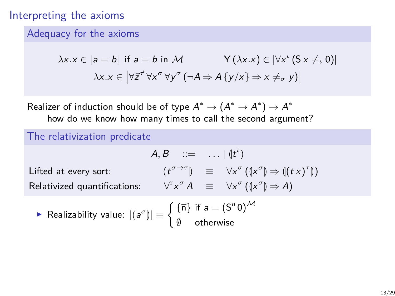#### Adequacy for the axioms

$$
\lambda x.x \in |a = b| \text{ if } a = b \text{ in } \mathcal{M} \qquad \qquad \mathsf{Y}(\lambda x.x) \in |\forall x' \, (\mathsf{S} \, x \neq_{\iota} 0)|
$$

$$
\lambda x.x \in \left| \forall \vec{z}^{\vec{\tau}} \, \forall x^{\sigma} \, \forall y^{\sigma} \, (\neg A \Rightarrow A \, \{y/x\} \Rightarrow x \neq_{\sigma} y) \right|
$$

Realizer of induction should be of type  $A^* \to (A^* \to A^*) \to A^*$ how do we know how many times to call the second argument?

#### The relativization predicate

Lifted at every sort:

$$
A, B ::= ... | (tt)
$$
  
Littled at every sort: 
$$
(t\sigma \to \tau) \equiv \forall x\sigma ((x\sigma) \Rightarrow ((t x)\tau))
$$
  
Relativized quantifications: 
$$
\forallr x\sigma A \equiv \forall x\sigma ((x\sigma) \Rightarrow A)
$$

$$
\blacktriangleright \text{ Realizability value: } |(\mathsf{a}^\sigma)| \equiv \begin{cases} \{\overline{n}\} \text{ if } \mathsf{a} = (\mathsf{S}^n \mathsf{0})^\mathcal{M} \\ \emptyset \quad \text{otherwise} \end{cases}
$$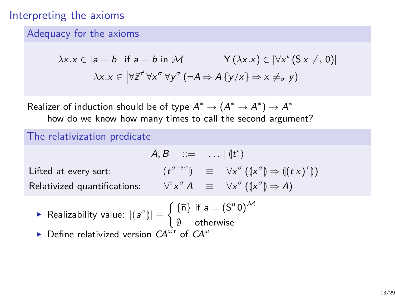#### Adequacy for the axioms

$$
\lambda x.x \in |a = b| \text{ if } a = b \text{ in } \mathcal{M} \qquad \qquad \mathsf{Y}(\lambda x.x) \in |\forall x' \, (\mathsf{S} \, x \neq_{\iota} 0)|
$$

$$
\lambda x.x \in \left| \forall \vec{z}^{\vec{\tau}} \, \forall x^{\sigma} \, \forall y^{\sigma} \, (\neg A \Rightarrow A \, \{y/x\} \Rightarrow x \neq_{\sigma} y) \right|
$$

Realizer of induction should be of type  $A^* \to (A^* \to A^*) \to A^*$ how do we know how many times to call the second argument?

#### The relativization predicate

Lifted at every sort:

$$
A, B ::= ... | (tt)
$$
  
Littled at every sort: 
$$
(t\sigma \to \tau) \equiv \forall x\sigma ((x\sigma) \Rightarrow ((t x)\tau))
$$
  
Relativized quantifications: 
$$
\forallr x\sigma A \equiv \forall x\sigma ((x\sigma) \Rightarrow A)
$$

► Realizability value: 
$$
|(a^{\sigma})| \equiv \begin{cases} {\{\overline{n}\}} & \text{if } a = (S^n 0)^{\mathcal{M}} \\ \emptyset & \text{otherwise} \end{cases}
$$

**►** Define relativized version  $CA^{\omega r}$  of  $CA^{\omega}$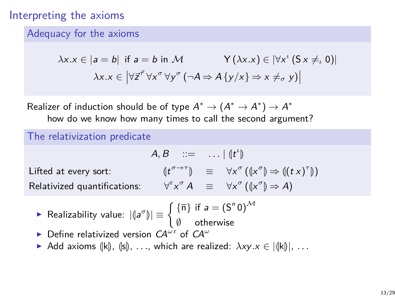#### Adequacy for the axioms

$$
\lambda x.x \in |a = b| \text{ if } a = b \text{ in } \mathcal{M} \qquad \qquad \mathsf{Y}(\lambda x.x) \in |\forall x' \, (\mathsf{S} \, x \neq_{\iota} 0)|
$$

$$
\lambda x.x \in \left| \forall \vec{z}^{\vec{\tau}} \, \forall x^{\sigma} \, \forall y^{\sigma} \, (\neg A \Rightarrow A \, \{y/x\} \Rightarrow x \neq_{\sigma} y) \right|
$$

Realizer of induction should be of type  $A^* \to (A^* \to A^*) \to A^*$ how do we know how many times to call the second argument?

#### The relativization predicate

Lifted at every sort:

$$
A, B ::= \dots | (tt)
$$
  
Lifted at every sort: 
$$
(t^{\sigma \to \tau}) \equiv \forall x^{\sigma} ((x^{\sigma}) \Rightarrow ((tx)^{\tau}))
$$
  
Relativized quantifications: 
$$
\forall^{r} x^{\sigma} A \equiv \forall x^{\sigma} ((x^{\sigma}) \Rightarrow A)
$$

$$
\blacktriangleright \text{ Realizability value: } |\mathfrak{g}^{\sigma}\mathfrak{h}| \equiv \begin{cases} \{\overline{n}\} \text{ if } a = (S^n 0)^{\mathcal{M}} \\ \emptyset & \text{otherwise} \end{cases}
$$

- **►** Define relativized version  $CA^{\omega r}$  of  $CA^{\omega}$
- **►** Add axioms  $(\vert k \vert)$ ,  $(\vert s \vert)$ ,  $\dots$ , which are realized:  $\lambda xy.x \in |\langle k \vert k \rangle|$ ,  $\dots$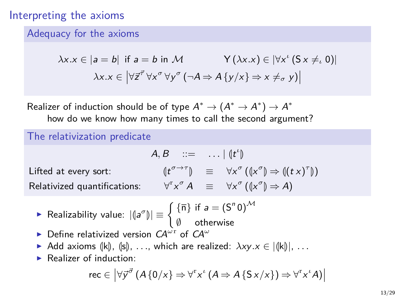#### Interpreting the axioms

#### Adequacy for the axioms

$$
\lambda x.x \in |a = b| \text{ if } a = b \text{ in } \mathcal{M} \qquad \qquad \mathsf{Y}(\lambda x.x) \in |\forall x' \, (\mathsf{S} \, x \neq_{\iota} 0)|
$$

$$
\lambda x.x \in \left| \forall \vec{z}^{\vec{\tau}} \, \forall x^{\sigma} \, \forall y^{\sigma} \, (\neg A \Rightarrow A \, \{y/x\} \Rightarrow x \neq_{\sigma} y) \right|
$$

Realizer of induction should be of type  $A^* \to (A^* \to A^*) \to A^*$ how do we know how many times to call the second argument?

#### The relativization predicate

Lifted at every sort:

$$
A, B ::= ... | (tt)
$$
  
Littled at every sort: 
$$
(t\sigma \to \tau) \equiv \forall x\sigma ((x\sigma) \Rightarrow ((tx)Relativized quantities: 
$$
\forall^{r} x\sigma A \equiv \forall x\sigma ((x\sigma) \Rightarrow A)
$$
$$

*τ* M)

**►** Realizability value:  $|{\mathsf{a}}^\sigma{\mathsf{b}}| \equiv \begin{cases} {\{\overline{n}\}} & \text{if } a = (\mathsf{S}^n\mathsf{0})^{\mathcal{M}} \\ \emptyset & \text{otherwise} \end{cases}$ 

- ∅ otherwise
- **►** Define relativized version  $CA^{\omega r}$  of  $CA^{\omega}$
- **►** Add axioms  $(\vert k \vert)$ ,  $(\vert s \vert)$ ,  $\dots$ , which are realized:  $\lambda xy.x \in |\langle k \vert k \rangle|$ ,  $\dots$
- $\blacktriangleright$  Realizer of induction:

$$
\mathsf{rec} \in \left| \forall \vec{y}^{\vec{\sigma}} \left( A \{ 0/x \} \Rightarrow \forall^{x} x^{i} \left( A \Rightarrow A \{ S x/x \} \right) \Rightarrow \forall^{x} x^{i} A \right) \right|
$$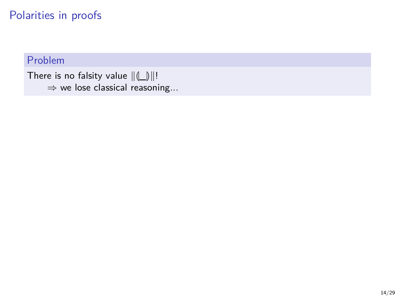#### Problem

```
There is no falsity value \|\|\_\text{min}\|!
\Rightarrow we lose classical reasoning...
```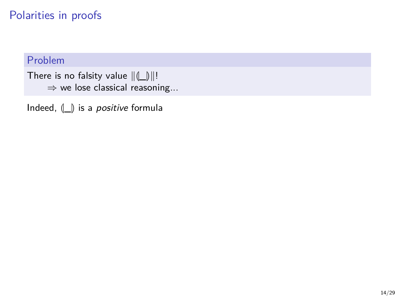#### Problem

There is no falsity value  $\|(\_\|)\|!$ ⇒ we lose classical reasoning...

Indeed,  $\Box$  is a *positive* formula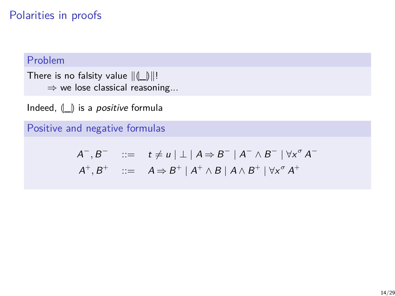#### Problem

There is no falsity value  $\| \langle \underline{\underline{\ } }\rangle \|.$ ⇒ we lose classical reasoning...

Indeed,  $\Box$  is a *positive* formula

Positive and negative formulas

$$
A^-, B^- \quad ::= \quad t \neq u \mid \perp \mid A \Rightarrow B^- \mid A^- \wedge B^- \mid \forall x^{\sigma} A^-
$$
  

$$
A^+, B^+ \quad ::= \quad A \Rightarrow B^+ \mid A^+ \wedge B \mid A \wedge B^+ \mid \forall x^{\sigma} A^+
$$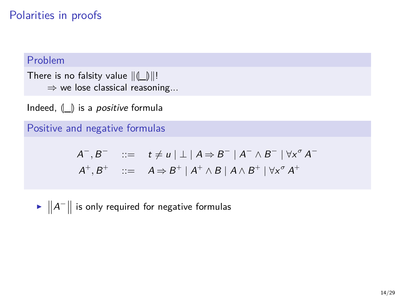#### Problem

There is no falsity value  $\| \langle \underline{\underline{\ } }\rangle \|.$ ⇒ we lose classical reasoning...

Indeed,  $\parallel$   $\parallel$  is a *positive* formula

Positive and negative formulas

$$
A^-, B^- \quad ::= \quad t \neq u \mid \perp \mid A \Rightarrow B^- \mid A^- \wedge B^- \mid \forall x^{\sigma} A^-
$$
  

$$
A^+, B^+ \quad ::= \quad A \Rightarrow B^+ \mid A^+ \wedge B \mid A \wedge B^+ \mid \forall x^{\sigma} A^+
$$

 $\blacktriangleright$   $\Vert A^-\Vert$  is only required for negative formulas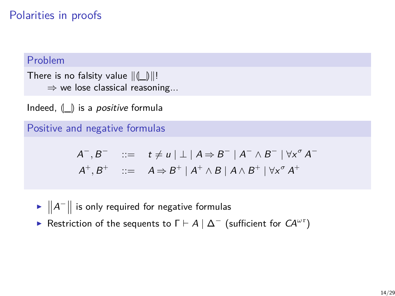#### Problem

There is no falsity value  $\|(\_\|)\|$ ! ⇒ we lose classical reasoning...

Indeed,  $\Box$  is a *positive* formula

Positive and negative formulas

$$
A^-, B^- \quad ::= \quad t \neq u \mid \perp \mid A \Rightarrow B^- \mid A^- \wedge B^- \mid \forall x^{\sigma} A^-
$$
  

$$
A^+, B^+ \quad ::= \quad A \Rightarrow B^+ \mid A^+ \wedge B \mid A \wedge B^+ \mid \forall x^{\sigma} A^+
$$

- $\blacktriangleright$   $\Vert A^-\Vert$  is only required for negative formulas
- **►** Restriction of the sequents to  $\Gamma \vdash A \mid \Delta^-$  (sufficient for  $CA^{\omega r}$ )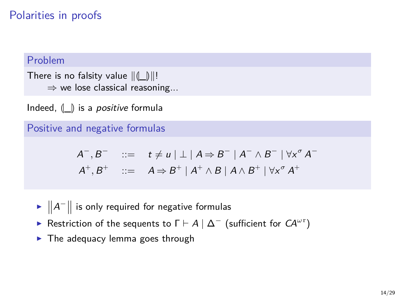#### Problem

There is no falsity value  $\|(\_\|)\|$ ! ⇒ we lose classical reasoning...

Indeed,  $\parallel$   $\parallel$  is a *positive* formula

Positive and negative formulas

$$
A^-, B^- \quad ::= \quad t \neq u \mid \perp \mid A \Rightarrow B^- \mid A^- \wedge B^- \mid \forall x^{\sigma} A^-
$$
  

$$
A^+, B^+ \quad ::= \quad A \Rightarrow B^+ \mid A^+ \wedge B \mid A \wedge B^+ \mid \forall x^{\sigma} A^+
$$

- $\blacktriangleright$   $\Vert A^-\Vert$  is only required for negative formulas
- **►** Restriction of the sequents to  $\Gamma \vdash A \mid \Delta^-$  (sufficient for  $CA^{\omega r}$ )
- $\blacktriangleright$  The adequacy lemma goes through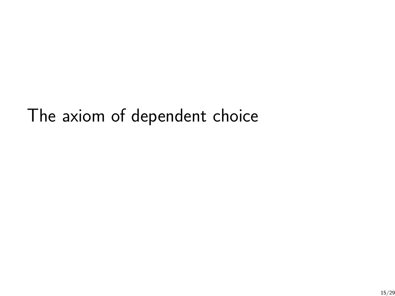# The axiom of dependent choice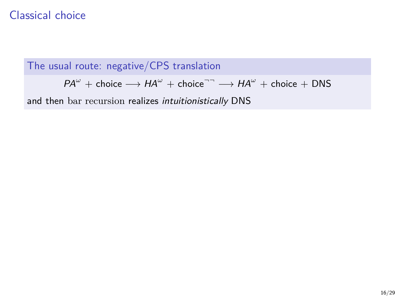The usual route: negative/CPS translation

 $PA^{\omega}$  + choice  $\longrightarrow HA^{\omega}$  + choice<sup> $\neg \neg$ </sup>  $\longrightarrow HA^{\omega}$  + choice + DNS

and then bar recursion realizes intuitionistically DNS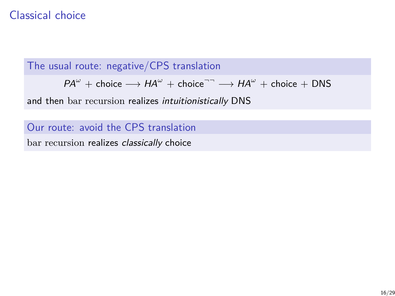The usual route: negative/CPS translation

 $PA^{\omega}$  + choice  $\longrightarrow HA^{\omega}$  + choice<sup> $\neg \neg$ </sup>  $\longrightarrow HA^{\omega}$  + choice + DNS

and then bar recursion realizes intuitionistically DNS

Our route: avoid the CPS translation

bar recursion realizes *classically* choice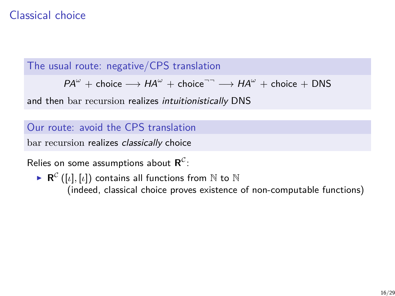The usual route: negative/CPS translation

 $PA^{\omega}$  + choice  $\longrightarrow HA^{\omega}$  + choice<sup> $\neg \neg$ </sup>  $\longrightarrow HA^{\omega}$  + choice + DNS

and then bar recursion realizes intuitionistically DNS

Our route: avoid the CPS translation

bar recursion realizes classically choice

Relies on some assumptions about  $\mathsf{R}^\mathcal{C}$ :

 $\blacktriangleright$   $\mathsf{R}^{\mathcal{C}}\left([ \iota], [\iota] \right)$  contains all functions from  $\mathbb{N}$  to  $\mathbb{N}$ (indeed, classical choice proves existence of non-computable functions)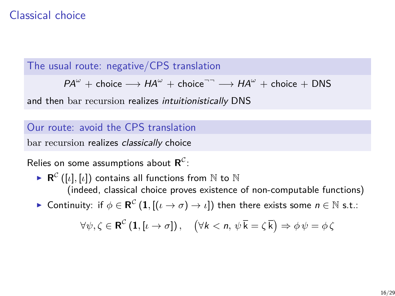The usual route: negative/CPS translation

 $PA^{\omega}$  + choice  $\longrightarrow HA^{\omega}$  + choice<sup> $\neg \neg$ </sup>  $\longrightarrow HA^{\omega}$  + choice + DNS

and then bar recursion realizes intuitionistically DNS

#### Our route: avoid the CPS translation

bar recursion realizes classically choice

Relies on some assumptions about  $\mathsf{R}^\mathcal{C}$ :

- $\blacktriangleright$   $\mathsf{R}^{\mathcal{C}}\left([ \iota], [\iota] \right)$  contains all functions from  $\mathbb{N}$  to  $\mathbb{N}$ (indeed, classical choice proves existence of non-computable functions)
- $▶$  Continuity: if  $\phi \in \mathbf{R}^{\mathcal{C}}\left( \mathbf{1},\left[(\iota \to \sigma)\to \iota\right]\right)$  then there exists some  $n \in \mathbb{N}$  s.t.:

$$
\forall \psi, \zeta \in \mathbf{R}^{\mathcal{C}} \left( \mathbf{1}, [\iota \to \sigma] \right), \quad \left( \forall k < n, \, \psi \, \overline{k} = \zeta \, \overline{k} \right) \Rightarrow \phi \, \psi = \phi \, \zeta
$$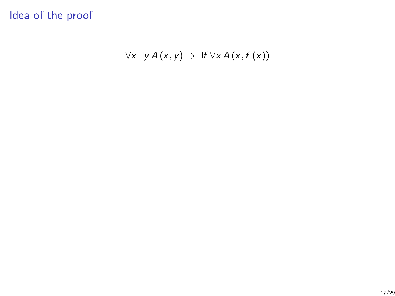∀x ∃y A (x*,* y) ⇒ ∃f ∀x A (x*,* f (x))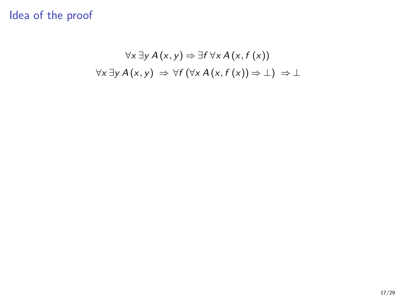## ∀x ∃y A (x*,* y) ⇒ ∃f ∀x A (x*,* f (x)) ∀x ∃y A (x*,* y) ⇒ ∀f (∀x A (x*,* f (x)) ⇒ ⊥) ⇒ ⊥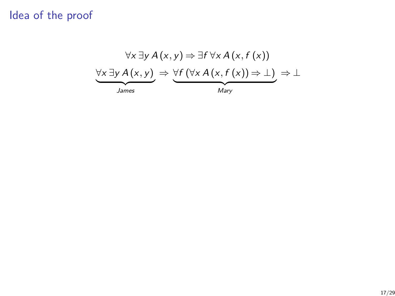∀x ∃y A (x*,* y) ⇒ ∃f ∀x A (x*,* f (x)) ∀x ∃y A (x*,* y) ⇒ ∀f (∀x A (x*,* f (x)) ⇒ ⊥) ⇒ ⊥  $James$ | *Mary*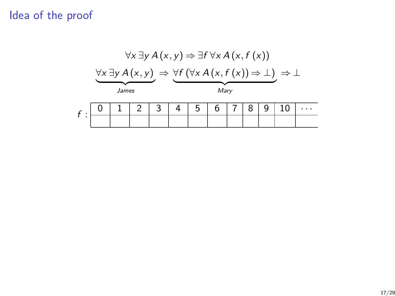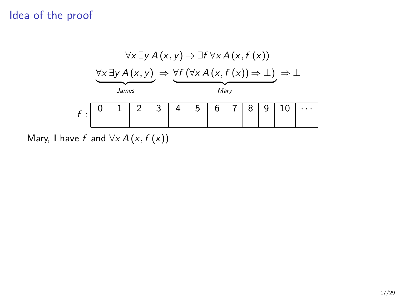

Mary, I have f and  $\forall x A(x, f(x))$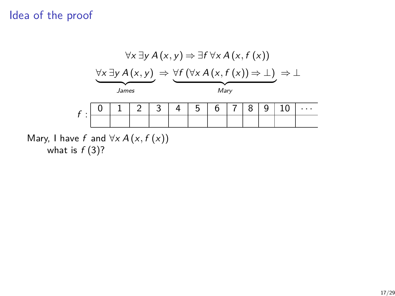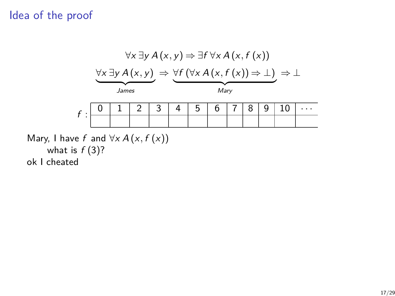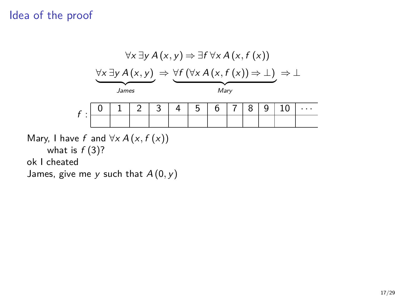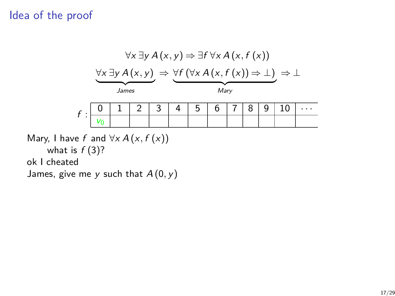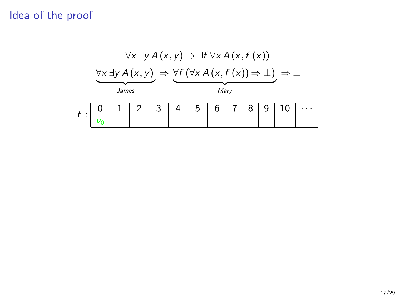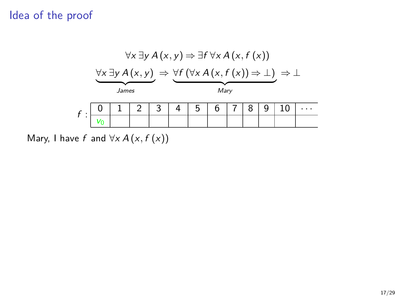

Mary, I have f and  $\forall x A(x, f(x))$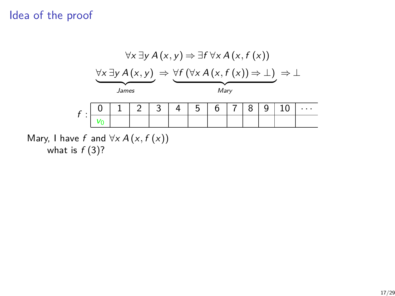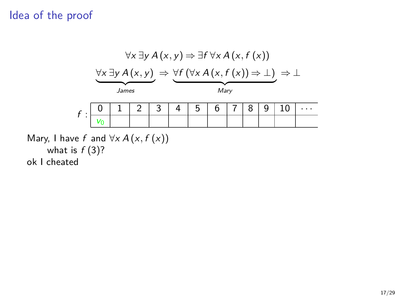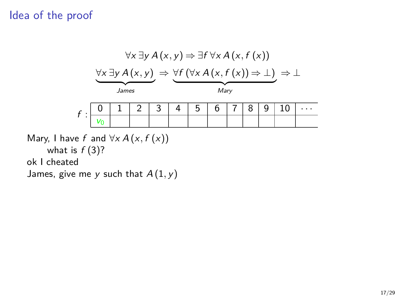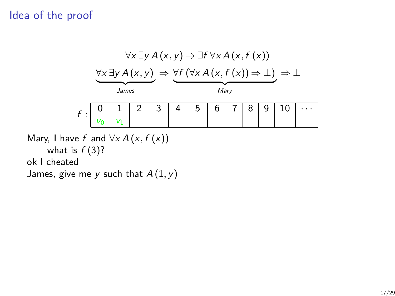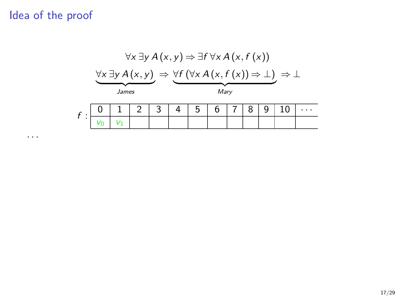· · ·

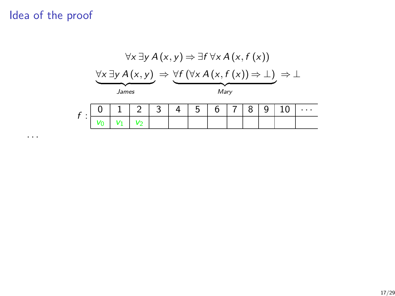· · ·



17/29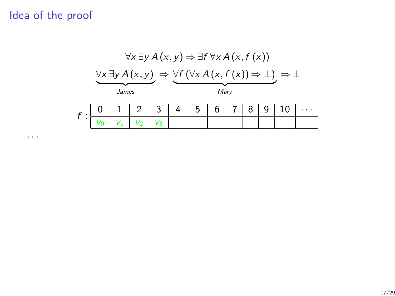

· · ·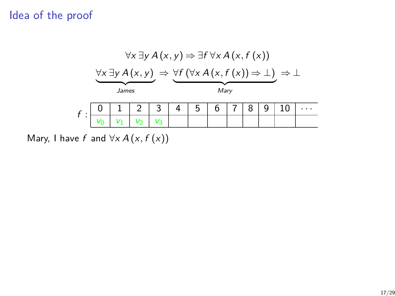

Mary, I have f and  $\forall x A(x, f(x))$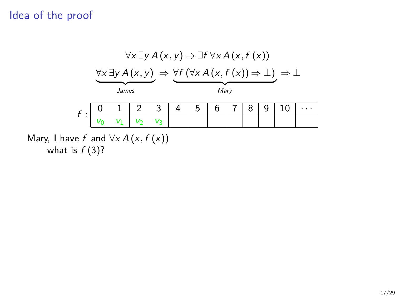

what is  $f(3)$ ?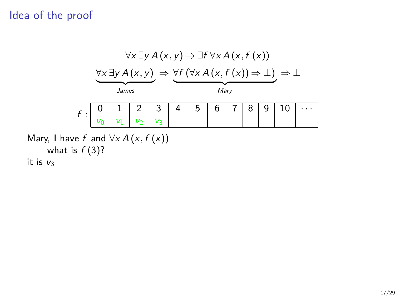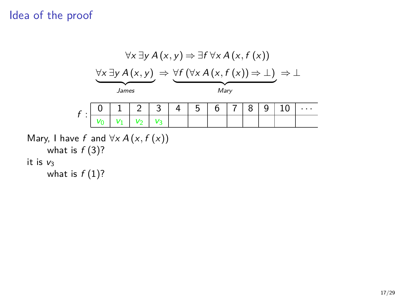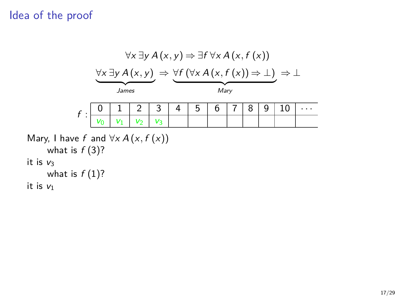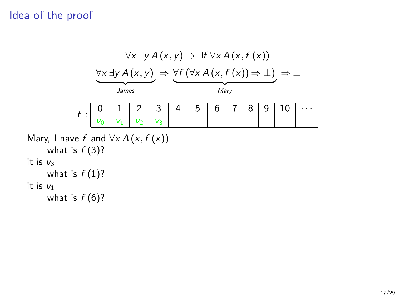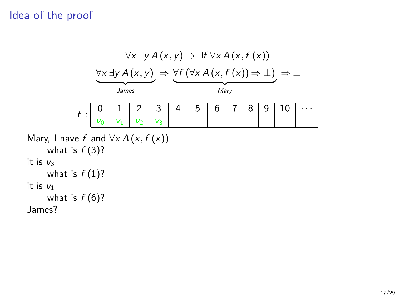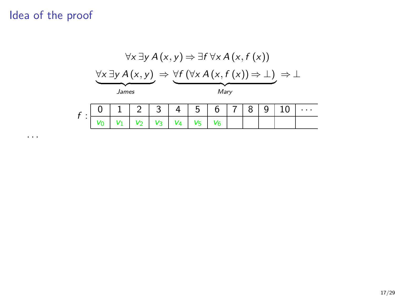· · ·



17/29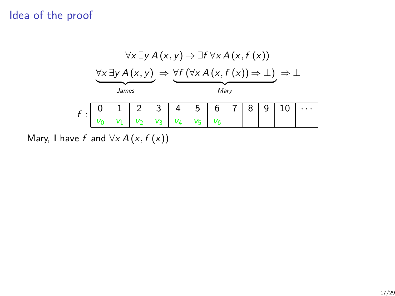| $\forall x \exists y A(x, y) \Rightarrow \exists f \forall x A(x, f(x))$                                     |  |  |  |  |      |  |  |  |  |  |  |
|--------------------------------------------------------------------------------------------------------------|--|--|--|--|------|--|--|--|--|--|--|
| $\forall x \exists y A(x, y) \Rightarrow \forall f (\forall x A(x, f(x)) \Rightarrow \bot) \Rightarrow \bot$ |  |  |  |  |      |  |  |  |  |  |  |
| James                                                                                                        |  |  |  |  | Mary |  |  |  |  |  |  |
|                                                                                                              |  |  |  |  | C    |  |  |  |  |  |  |
|                                                                                                              |  |  |  |  |      |  |  |  |  |  |  |

Mary, I have  $f$  and  $\forall x A(x, f(x))$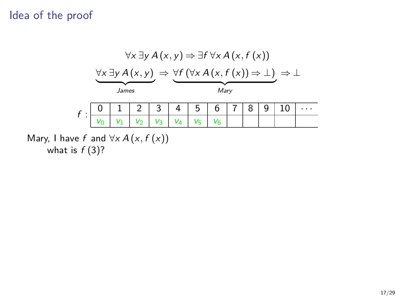

what is  $f(3)$ ?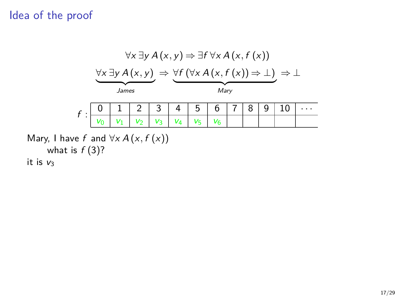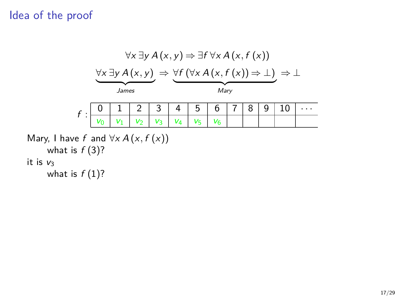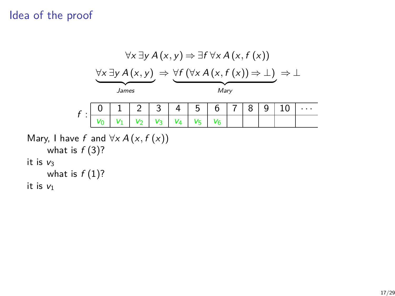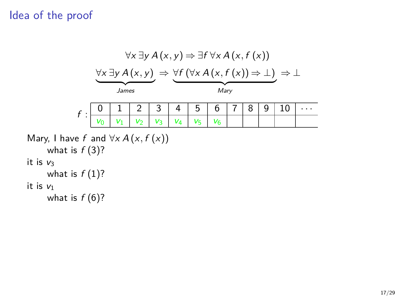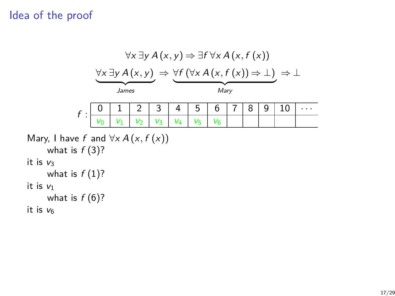|                                                               | $\forall x \exists y A(x, y) \Rightarrow \exists f \forall x A(x, f(x))$                                     |    |                |                |    |         |                |  |   |   |    |  |
|---------------------------------------------------------------|--------------------------------------------------------------------------------------------------------------|----|----------------|----------------|----|---------|----------------|--|---|---|----|--|
|                                                               | $\forall x \exists y A(x, y) \Rightarrow \forall f (\forall x A(x, f(x)) \Rightarrow \bot) \Rightarrow \bot$ |    |                |                |    |         |                |  |   |   |    |  |
|                                                               | James                                                                                                        |    |                |                |    | Mary    |                |  |   |   |    |  |
| $f$ :                                                         | 0                                                                                                            |    | 2              | 3              | 4  | 5       | 6              |  | 8 | 9 | 10 |  |
|                                                               |                                                                                                              | V1 | V <sub>2</sub> | V <sub>3</sub> | V4 | $V_{5}$ | V <sub>6</sub> |  |   |   |    |  |
| Mary, I have f and $\forall x A(x, f(x))$<br>what is $f(3)$ ? |                                                                                                              |    |                |                |    |         |                |  |   |   |    |  |
| it is $v_3$<br>what is $f(1)$ ?                               |                                                                                                              |    |                |                |    |         |                |  |   |   |    |  |
| it is $v_1$<br>what is $f(6)$ ?                               |                                                                                                              |    |                |                |    |         |                |  |   |   |    |  |
| it is $v_6$                                                   |                                                                                                              |    |                |                |    |         |                |  |   |   |    |  |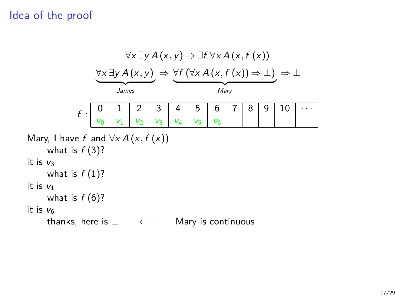|                                                               | $\forall x \exists y A(x, y) \Rightarrow \exists f \forall x A(x, f(x))$                                     |       |                |    |                    |       |  |   |   |    |  |
|---------------------------------------------------------------|--------------------------------------------------------------------------------------------------------------|-------|----------------|----|--------------------|-------|--|---|---|----|--|
|                                                               | $\forall x \exists y A(x, y) \Rightarrow \forall f (\forall x A(x, f(x)) \Rightarrow \bot) \Rightarrow \bot$ |       |                |    |                    |       |  |   |   |    |  |
|                                                               | James                                                                                                        |       |                |    |                    | Mary  |  |   |   |    |  |
| $\boldsymbol{f}$ :                                            |                                                                                                              |       | 3              | 4  | 5                  | 6     |  | 8 | 9 | 10 |  |
|                                                               | $V_1$                                                                                                        | $V_2$ | V <sub>3</sub> | V4 | $V_5$              | $V_6$ |  |   |   |    |  |
| Mary, I have f and $\forall x A(x, f(x))$<br>what is $f(3)$ ? |                                                                                                              |       |                |    |                    |       |  |   |   |    |  |
| it is $v_3$                                                   |                                                                                                              |       |                |    |                    |       |  |   |   |    |  |
| what is $f(1)$ ?                                              |                                                                                                              |       |                |    |                    |       |  |   |   |    |  |
| it is $v_1$                                                   |                                                                                                              |       |                |    |                    |       |  |   |   |    |  |
| what is $f(6)$ ?                                              |                                                                                                              |       |                |    |                    |       |  |   |   |    |  |
| it is ve                                                      |                                                                                                              |       |                |    |                    |       |  |   |   |    |  |
| thanks, here is $\perp$                                       |                                                                                                              |       |                |    | Mary is continuous |       |  |   |   |    |  |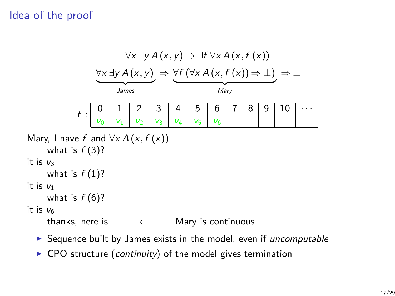|                                     | $\forall x \exists y A(x, y) \Rightarrow \exists f \forall x A(x, f(x))$                                     |                |                |                |    |                    |                |  |   |   |    |  |
|-------------------------------------|--------------------------------------------------------------------------------------------------------------|----------------|----------------|----------------|----|--------------------|----------------|--|---|---|----|--|
|                                     | $\forall x \exists y A(x, y) \Rightarrow \forall f (\forall x A(x, f(x)) \Rightarrow \bot) \Rightarrow \bot$ |                |                |                |    |                    |                |  |   |   |    |  |
|                                     | James                                                                                                        |                |                |                |    | Mary               |                |  |   |   |    |  |
| $f$ :                               |                                                                                                              |                |                | 3              | 4  | 5                  | 6              |  | 8 | 9 | 10 |  |
|                                     |                                                                                                              | V <sub>1</sub> | V <sub>2</sub> | V <sub>3</sub> | V4 | V5                 | V <sub>6</sub> |  |   |   |    |  |
|                                     | Mary, I have f and $\forall x A(x, f(x))$<br>what is $f(3)$ ?                                                |                |                |                |    |                    |                |  |   |   |    |  |
| it is $v_3$<br>what is $f(1)$ ?     |                                                                                                              |                |                |                |    |                    |                |  |   |   |    |  |
| it is $v_1$<br>what is $f(6)$ ?     |                                                                                                              |                |                |                |    |                    |                |  |   |   |    |  |
| it is ve<br>thanks, here is $\perp$ |                                                                                                              |                |                |                |    | Mary is continuous |                |  |   |   |    |  |

- $\blacktriangleright$  Sequence built by James exists in the model, even if uncomputable
- $\triangleright$  CPO structure (continuity) of the model gives termination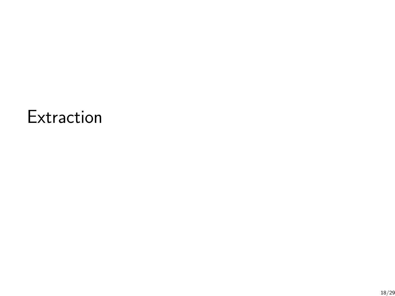# **Extraction**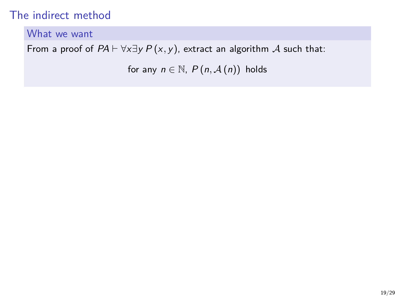### The indirect method

#### What we want

From a proof of  $PA \vdash \forall x \exists y P(x, y)$ , extract an algorithm A such that:

for any  $n \in \mathbb{N}$ ,  $P(n, \mathcal{A}(n))$  holds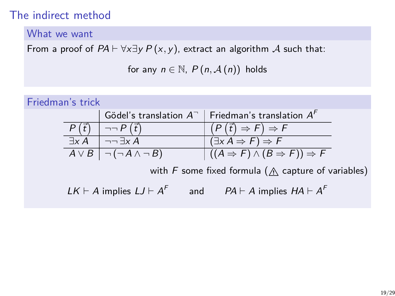### The indirect method

#### What we want

From a proof of  $PA \vdash \forall x \exists y P(x, y)$ , extract an algorithm A such that:

for any  $n \in \mathbb{N}$ ,  $P(n, \mathcal{A}(n))$  holds

| Friedman's trick                                           |               |                                                  |                                                              |  |  |  |  |  |
|------------------------------------------------------------|---------------|--------------------------------------------------|--------------------------------------------------------------|--|--|--|--|--|
|                                                            |               |                                                  | Gödel's translation $A^-$   Friedman's translation $A^F$     |  |  |  |  |  |
|                                                            |               | $\neg\neg P(\vec{t})$                            | $(P(\vec{t}) \Rightarrow F) \Rightarrow F$                   |  |  |  |  |  |
|                                                            | $\exists x A$ | $\neg\neg \exists x A$                           | $(\exists x A \Rightarrow F) \Rightarrow F$                  |  |  |  |  |  |
|                                                            |               | $A \vee B$ $\bigcap$ $\bigcap$ $A \wedge \neg B$ | $((A \Rightarrow F) \wedge (B \Rightarrow F)) \Rightarrow F$ |  |  |  |  |  |
| with F some fixed formula ( $\wedge$ capture of variables) |               |                                                  |                                                              |  |  |  |  |  |
|                                                            |               | $LK \vdash A$ implies $LJ \vdash A^F$            | and $PA \vdash A$ implies $HA \vdash A^F$                    |  |  |  |  |  |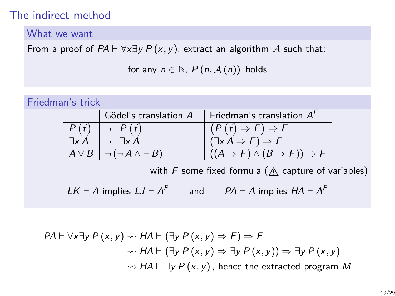### The indirect method

#### What we want

From a proof of  $PA \vdash \forall x \exists y P(x, y)$ , extract an algorithm A such that:

for any  $n \in \mathbb{N}$ ,  $P(n, \mathcal{A}(n))$  holds

| Friedman's trick |               |                                                  |                                                              |
|------------------|---------------|--------------------------------------------------|--------------------------------------------------------------|
|                  |               |                                                  | Gödel's translation $A^-$   Friedman's translation $A^F$     |
|                  |               | $\neg\neg P(\vec{t})$                            | $(P(\vec{t}) \Rightarrow F) \Rightarrow F$                   |
|                  | $\exists x A$ | $\neg\neg \exists x A$                           | $(\exists x A \Rightarrow F) \Rightarrow F$                  |
|                  |               | $A \vee B$ $\bigcap$ $\bigcap$ $A \wedge \neg B$ | $((A \Rightarrow F) \wedge (B \Rightarrow F)) \Rightarrow F$ |
|                  |               |                                                  | with F some fixed formula ( $\wedge$ capture of variables)   |
|                  |               | $LK \vdash A$ implies $LJ \vdash A^F$<br>and     | $PA \vdash A$ implies $HA \vdash A^F$                        |

$$
PA \vdash \forall x \exists y \, P(x, y) \rightsquigarrow HA \vdash (\exists y \, P(x, y) \Rightarrow F) \Rightarrow F
$$

$$
\rightsquigarrow HA \vdash (\exists y \, P(x, y) \Rightarrow \exists y \, P(x, y)) \Rightarrow \exists y \, P(x, y)
$$

$$
\rightsquigarrow HA \vdash \exists y \, P(x, y), \text{ hence the extracted program } M
$$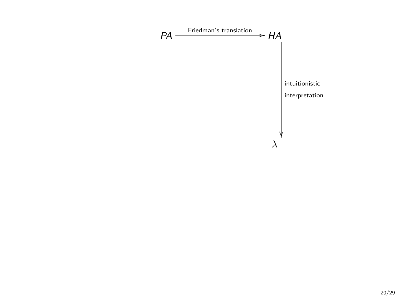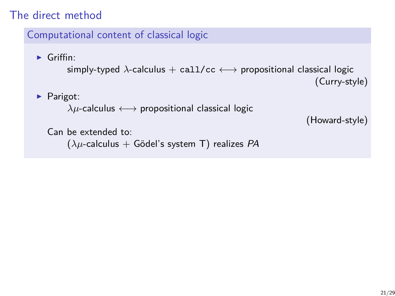### The direct method

#### Computational content of classical logic

 $\blacktriangleright$  Griffin:

```
simply-typed \lambda-calculus + call/cc \longleftrightarrow propositional classical logic
                                                                          (Curry-style)
```
 $\blacktriangleright$  Parigot:

```
λµ-calculus ←→ propositional classical logic
```

```
(Howard-style)
```

```
Can be extended to:
```
(*λµ*-calculus + Gödel's system T) realizes PA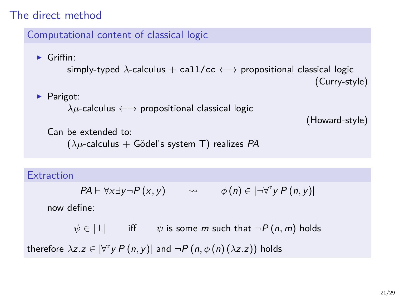### The direct method

#### Computational content of classical logic

 $\blacktriangleright$  Griffin: simply-typed  $\lambda$ -calculus + call/cc  $\longleftrightarrow$  propositional classical logic (Curry-style)

### $\blacktriangleright$  Parigot:

```
\lambda \mu-calculus \longleftrightarrow propositional classical logic
```

```
(Howard-style)
```

```
Can be extended to:
    (λµ-calculus + Gödel's system T) realizes PA
```
#### **Extraction**

 $PA \vdash \forall x \exists y \neg P(x, y) \qquad \leadsto \qquad \phi(n) \in |\neg \forall^{r} y P(n, y)|$ 

now define:

 $\psi \in | \perp |$  iff  $\psi$  is some *m* such that  $\neg P(n,m)$  holds therefore  $\lambda z.z \in |\forall^{\text{r}} y P(n, y)|$  and  $\neg P(n, \phi(n) (\lambda z.z))$  holds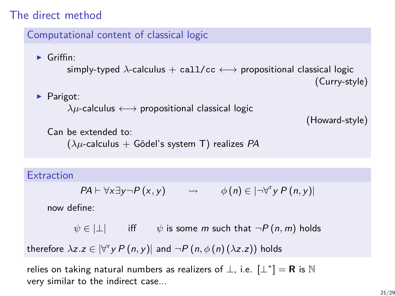### The direct method

#### Computational content of classical logic

 $\blacktriangleright$  Griffin: simply-typed  $\lambda$ -calculus + call/cc  $\longleftrightarrow$  propositional classical logic (Curry-style)

#### $\blacktriangleright$  Parigot:

```
\lambda \mu-calculus \longleftrightarrow propositional classical logic
```

```
(Howard-style)
```

```
Can be extended to:
    (λµ-calculus + Gödel's system T) realizes PA
```
#### **Extraction**

 $PA \vdash \forall x \exists y \neg P(x, y) \qquad \leadsto \qquad \phi(n) \in |\neg \forall^{r} y P(n, y)|$ 

now define:

 $\psi \in | \perp |$  iff  $\psi$  is some *m* such that  $\neg P(n,m)$  holds

therefore  $\lambda z.z \in |\forall^{\text{r}} y P(n, y)|$  and  $\neg P(n, \phi(n) (\lambda z.z))$  holds

relies on taking natural numbers as realizers of  $\bot$ , i.e.  $\mathcal{L}^*$ ]  $=$  **R** is  $\mathbb N$ very similar to the indirect case...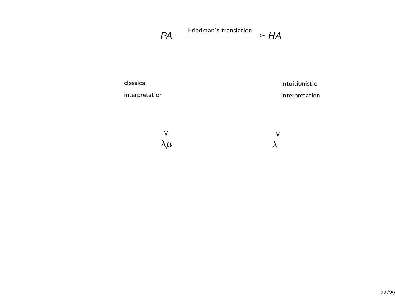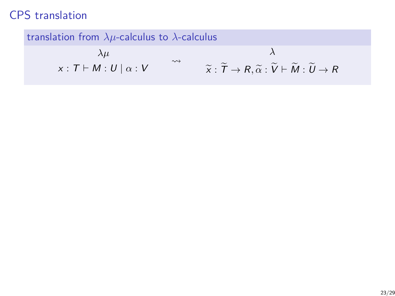translation from *λµ*-calculus to *λ*-calculus

$$
\lambda \mu \qquad \lambda
$$
  

$$
x: T \vdash M: U \mid \alpha: V \qquad \leadsto \qquad \widetilde{x}: \widetilde{T} \to R, \widetilde{\alpha}: \widetilde{V} \vdash \widetilde{M}: \widetilde{U} \to R
$$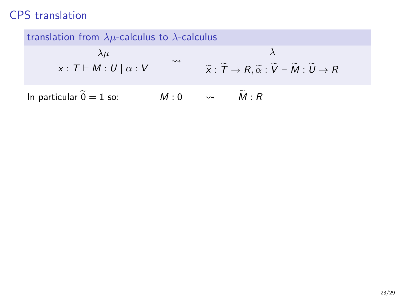translation from *λµ*-calculus to *λ*-calculus

$$
\lambda \mu \qquad \lambda
$$
  

$$
x: T \vdash M: U \mid \alpha: V \qquad \forall \tilde{x}: \tilde{T} \to R, \tilde{\alpha}: \tilde{V} \vdash \tilde{M}: \tilde{U} \to R
$$
  
In particular  $\tilde{0} = 1$  so:  $M: 0 \qquad \leadsto \qquad \tilde{M}: R$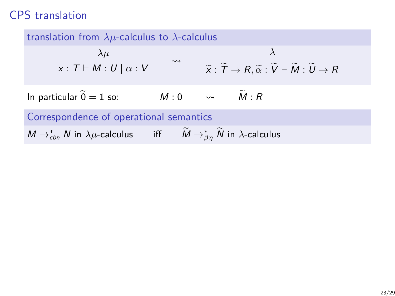translation from *λµ*-calculus to *λ*-calculus *λµ*  $x : T \vdash M : U \mid \alpha : V$  $\leadsto$ *λ*  $\widetilde{\mathsf{x}} : \widetilde{\mathsf{T}} \to R$ ,  $\widetilde{\alpha} : \widetilde{\mathsf{V}} \vdash \widetilde{\mathsf{M}} : \widetilde{\mathsf{U}} \to R$ In particular  $\widetilde{0} = 1$  so:  $M : 0 \longrightarrow \widetilde{M} : R$ Correspondence of operational semantics  $M \rightarrow_{cbn}^{*} N$  in  $\lambda \mu$ -calculus iff  $\tilde{M} \rightarrow_{\beta\eta}^{*} \tilde{N}$  in  $\lambda$ -calculus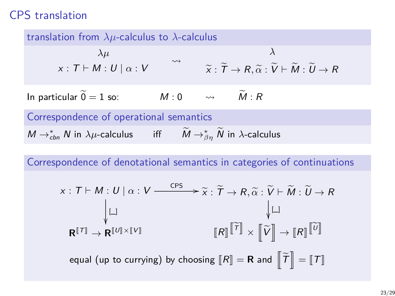translation from *λµ*-calculus to *λ*-calculus *λµ*  $x : T \vdash M : U \mid \alpha : V$  $\rightsquigarrow$ *λ*  $\widetilde{\chi}: \widetilde{T} \to R$ ,  $\widetilde{\alpha}: \widetilde{V} \vdash \widetilde{M}: \widetilde{U} \to R$ In particular  $\widetilde{0} = 1$  so:  $M : 0 \longrightarrow \widetilde{M} : R$ Correspondence of operational semantics  $M \rightarrow_{cbn}^{*} N$  in  $\lambda \mu$ -calculus iff  $\tilde{M} \rightarrow_{\beta\eta}^{*} \tilde{N}$  in  $\lambda$ -calculus

Correspondence of denotational semantics in categories of continuations

$$
\times: T \vdash M: U \mid \alpha: V \xrightarrow{\text{CPS}} \widetilde{\times}: \widetilde{T} \to R, \widetilde{\alpha}: \widetilde{V} \vdash \widetilde{M}: \widetilde{U} \to R
$$
\n
$$
\downarrow \Box
$$
\n
$$
\mathbf{R}^{[T]} \to \mathbf{R}^{[U] \times [V]}
$$
\n
$$
[R] \widetilde{[T]} \times [\widetilde{V}] \to [R] \widetilde{[U]}
$$
\nequal (up to currying) by choosing  $[R] = \mathbf{R}$  and  $[\widetilde{T}] = [T]$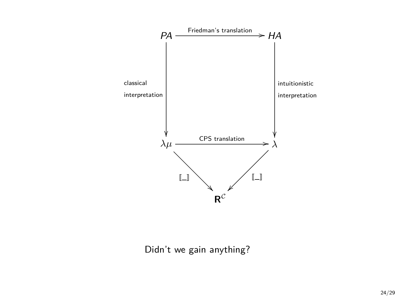

Didn't we gain anything?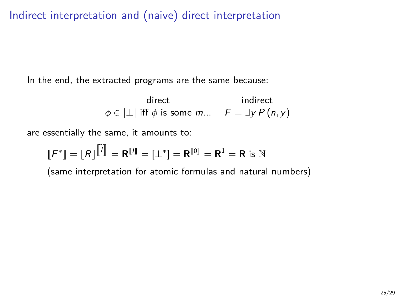Indirect interpretation and (naive) direct interpretation

In the end, the extracted programs are the same because:

$$
\begin{array}{c|c}\n\text{direct} & \text{indirect} \\
\hline\n\phi \in |\bot| & \text{iff } \phi \text{ is some } m...\n\end{array}
$$
\n
$$
F = \exists y \, P(n, y)
$$

are essentially the same, it amounts to:

÷,

$$
\llbracket F^* \rrbracket = \llbracket R \rrbracket^{\text{tr}} = \mathbf{R}^{\text{tr}} = [\bot^*] = \mathbf{R}^{\text{tr}} = \mathbf{R}^1 = \mathbf{R}
$$
 is N

(same interpretation for atomic formulas and natural numbers)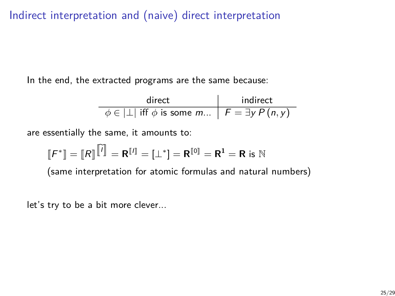Indirect interpretation and (naive) direct interpretation

In the end, the extracted programs are the same because:

| direct                                                               | indirect |
|----------------------------------------------------------------------|----------|
| $\phi \in  \perp $ iff $\phi$ is some m $\mid F = \exists y P(n, y)$ |          |

are essentially the same, it amounts to:

$$
\llbracket F^* \rrbracket = \llbracket R \rrbracket^{\text{tr}} = \mathbf{R}^{\text{tr}} = [\bot^*] = \mathbf{R}^{\text{tr}} = \mathbf{R}^1 = \mathbf{R}
$$
 is N

(same interpretation for atomic formulas and natural numbers)

let's try to be a bit more clever...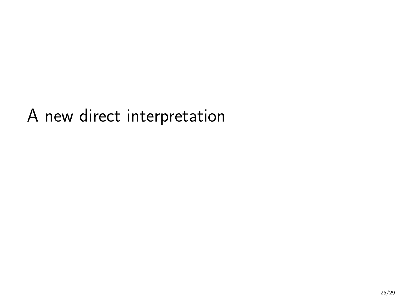A new direct interpretation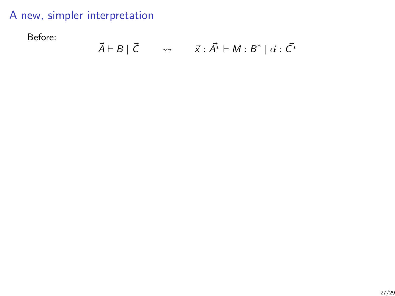Before:

$$
\vec{A} \vdash B \mid \vec{C} \qquad \leadsto \qquad \vec{x} : \vec{A^*} \vdash M : B^* \mid \vec{\alpha} : \vec{C^*}
$$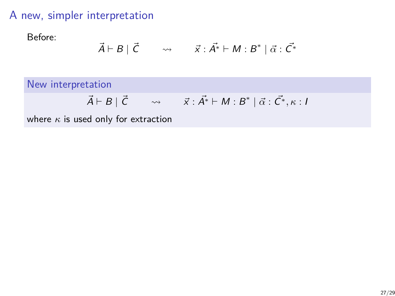Before:

$$
\vec{A} \vdash B \mid \vec{C} \qquad \leadsto \qquad \vec{x} : \vec{A^*} \vdash M : B^* \mid \vec{\alpha} : \vec{C^*}
$$

New interpretation

$$
\vec{A} \vdash B \mid \vec{C} \qquad \leadsto \qquad \vec{x} : \vec{A^*} \vdash M : B^* \mid \vec{\alpha} : \vec{C^*}, \kappa : I
$$

where *κ* is used only for extraction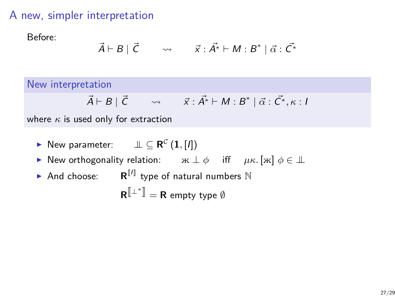Before:

$$
\vec{A} \vdash B \mid \vec{C} \qquad \leadsto \qquad \vec{x} : \vec{A^*} \vdash M : B^* \mid \vec{\alpha} : \vec{C^*}
$$

New interpretation

$$
\vec{A} \vdash B \mid \vec{C} \qquad \leadsto \qquad \vec{x} : \vec{A^*} \vdash M : B^* \mid \vec{\alpha} : \vec{C^*}, \kappa : I
$$

where *κ* is used only for extraction

- ▶ New parameter:  $\qquad \perp\!\!\!\perp \subseteq \mathbf{R}^{\mathcal{C}} \left( \mathbf{1}, [l] \right)$
- **►** New orthogonality relation:  $\mathbf{x} \perp \phi$  iff  $\mu \kappa$ .  $[\mathbf{x}] \phi \in \perp \hspace{-0.1cm}\perp$
- $\blacktriangleright$  And choose:  $\blacksquare$  **R**<sup>[[1]</sup> type of natural numbers  $\mathbb N$

 $\mathbf{R}^{\left[\!\left[ \begin{smallmatrix} \perp^*\end{smallmatrix} \right]\!\!\right]} = \mathbf{R}$  empty type  $\emptyset$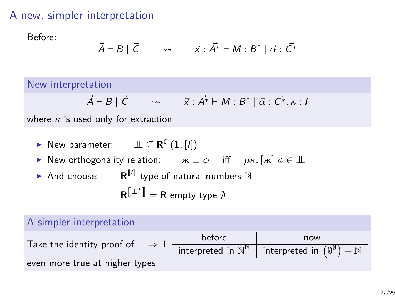Before:

$$
\vec{A} \vdash B \mid \vec{C} \qquad \leadsto \qquad \vec{x} : \vec{A^*} \vdash M : B^* \mid \vec{\alpha} : \vec{C^*}
$$

New interpretation

$$
\vec{A} \vdash B \mid \vec{C} \qquad \leadsto \qquad \vec{x} : \vec{A^*} \vdash M : B^* \mid \vec{\alpha} : \vec{C^*}, \kappa : I
$$

where *κ* is used only for extraction

- ▶ New parameter:  $\qquad \perp\!\!\!\perp \subseteq \mathbf{R}^{\mathcal{C}} \left( \mathbf{1}, [l] \right)$
- **►** New orthogonality relation:  $\kappa \perp \phi$  iff  $\mu \kappa$ . [ж]  $\phi \in \perp \!\!\! \perp$
- $\blacktriangleright$  And choose:  $\blacksquare$  **R**<sup>[[1]</sup> type of natural numbers  $\mathbb N$

 $\mathbf{R}^{\left[\!\left[ \begin{smallmatrix} \perp^*\end{smallmatrix} \right]\!\!\right]} = \mathbf{R}$  empty type  $\emptyset$ 

#### A simpler interpretation

Take the identity proof of  $\bot \Rightarrow \bot$ 

before now interpreted in  $\mathbb{N}^{\mathbb{N}}$ interpreted in  $(\emptyset^\emptyset)$  $)+\mathbb{N}$ 

even more true at higher types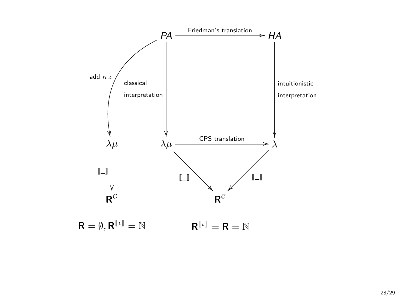

 $R^{[\iota]} = R = \mathbb{N}$  $\mathsf{R} = \emptyset, \mathsf{R}^{\llbracket \iota \rrbracket} = \mathbb{N}$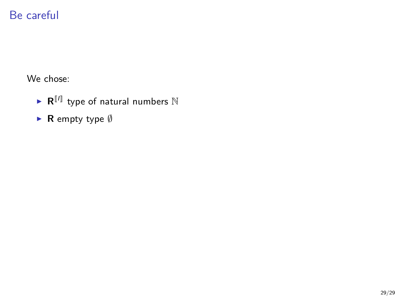# Be careful

We chose:

- $\blacktriangleright$  **R**<sup>[I]</sup> type of natural numbers  $\mathbb N$
- ► **R** empty type Ø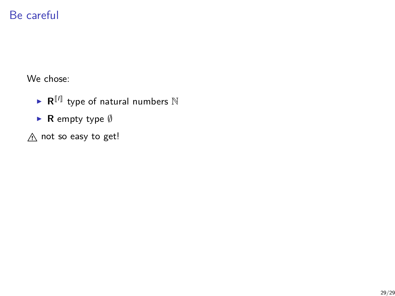# Be careful

We chose:

- $\blacktriangleright$  **R**<sup>[I]</sup> type of natural numbers  $\mathbb N$
- ► **R** empty type Ø
- $A$  not so easy to get!